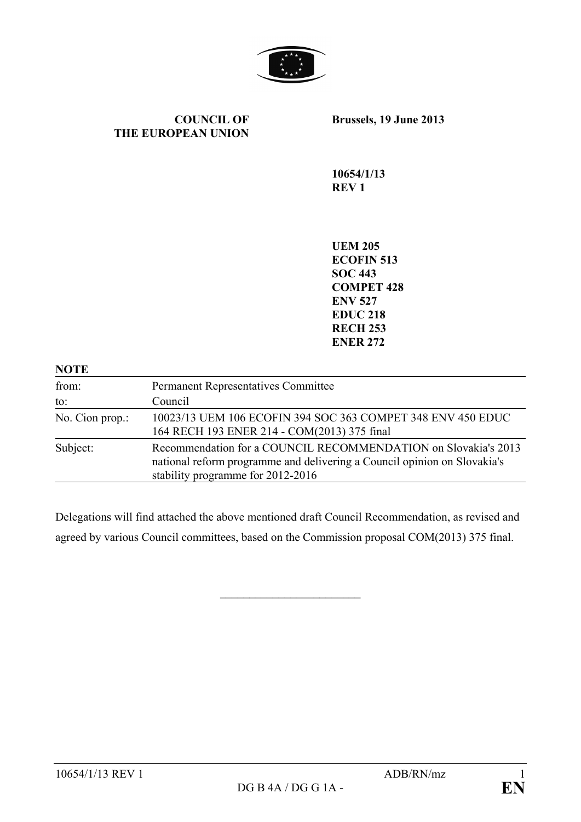

### **COUNCIL OF THE EUROPEAN UNION**

**Brussels, 19 June 2013**

**10654/1/13 REV 1**

**UEM 205 ECOFIN 513 SOC 443 COMPET 428 ENV 527 EDUC 218 RECH 253 ENER 272**

| <b>NOTE</b>     |                                                                                                                                                                                 |
|-----------------|---------------------------------------------------------------------------------------------------------------------------------------------------------------------------------|
| from:           | <b>Permanent Representatives Committee</b>                                                                                                                                      |
| to:             | Council                                                                                                                                                                         |
| No. Cion prop.: | 10023/13 UEM 106 ECOFIN 394 SOC 363 COMPET 348 ENV 450 EDUC<br>164 RECH 193 ENER 214 - COM(2013) 375 final                                                                      |
| Subject:        | Recommendation for a COUNCIL RECOMMENDATION on Slovakia's 2013<br>national reform programme and delivering a Council opinion on Slovakia's<br>stability programme for 2012-2016 |

Delegations will find attached the above mentioned draft Council Recommendation, as revised and agreed by various Council committees, based on the Commission proposal COM(2013) 375 final.

 $\overline{\phantom{a}}$  , which is a set of the set of the set of the set of the set of the set of the set of the set of the set of the set of the set of the set of the set of the set of the set of the set of the set of the set of th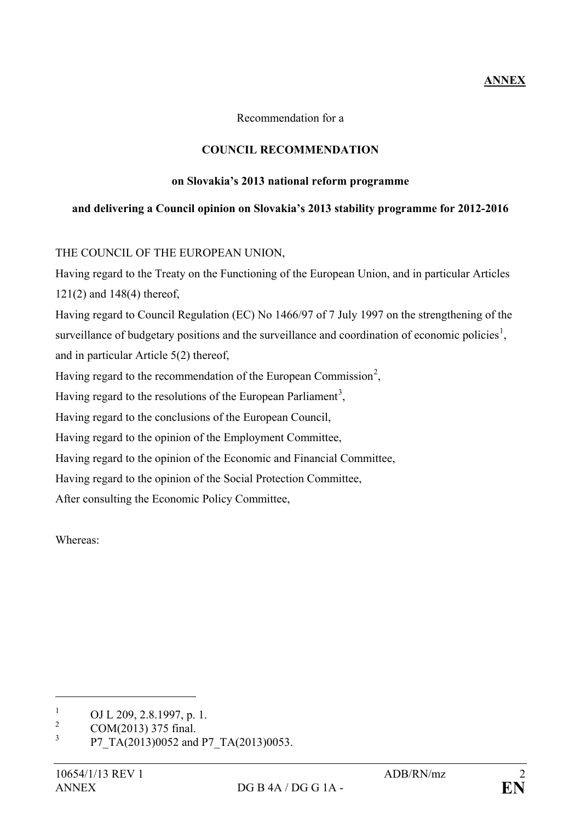# **ANNEX**

Recommendation for a

## **COUNCIL RECOMMENDATION**

### **on Slovakia's 2013 national reform programme**

## **and delivering a Council opinion on Slovakia's 2013 stability programme for 2012-2016**

## THE COUNCIL OF THE EUROPEAN UNION,

Having regard to the Treaty on the Functioning of the European Union, and in particular Articles 121(2) and 148(4) thereof,

Having regard to Council Regulation (EC) No 1466/97 of 7 July 1997 on the strengthening of the surveillance of budgetary positions and the surveillance and coordination of economic policies<sup>[1](#page-1-0)</sup>, and in particular Article 5(2) thereof,

Having regard to the recommendation of the European Commission<sup>[2](#page-1-1)</sup>,

Having regard to the resolutions of the European Parliament<sup>[3](#page-1-2)</sup>,

Having regard to the conclusions of the European Council,

Having regard to the opinion of the Employment Committee,

Having regard to the opinion of the Economic and Financial Committee,

Having regard to the opinion of the Social Protection Committee,

After consulting the Economic Policy Committee,

Whereas:

 $\overline{a}$ 

<span id="page-1-0"></span> $\frac{1}{2}$  OJ L 209, 2.8.1997, p. 1.

<span id="page-1-1"></span> $2 \text{COM}(2013)$  375 final.

<span id="page-1-2"></span><sup>3</sup> P7\_TA(2013)0052 and P7\_TA(2013)0053.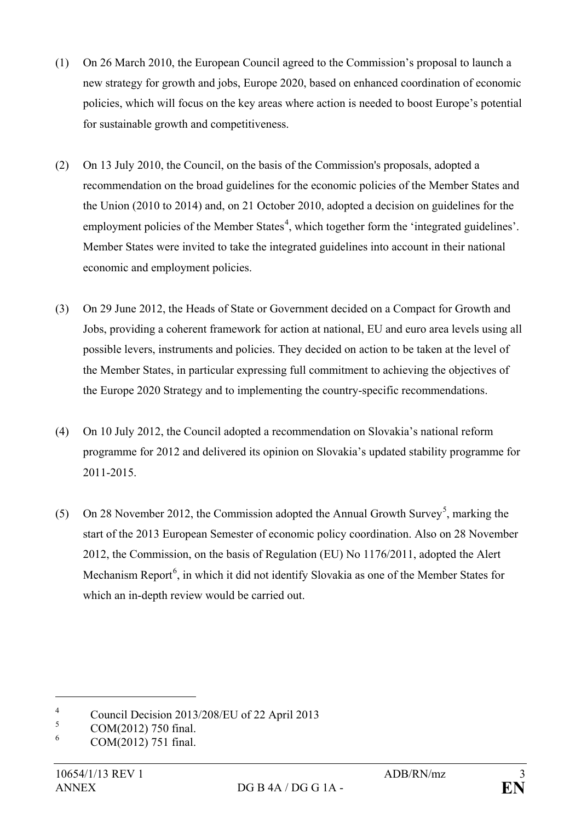- (1) On 26 March 2010, the European Council agreed to the Commission's proposal to launch a new strategy for growth and jobs, Europe 2020, based on enhanced coordination of economic policies, which will focus on the key areas where action is needed to boost Europe's potential for sustainable growth and competitiveness.
- (2) On 13 July 2010, the Council, on the basis of the Commission's proposals, adopted a recommendation on the broad guidelines for the economic policies of the Member States and the Union (2010 to 2014) and, on 21 October 2010, adopted a decision on guidelines for the employment policies of the Member States<sup>[4](#page-2-0)</sup>, which together form the 'integrated guidelines'. Member States were invited to take the integrated guidelines into account in their national economic and employment policies.
- (3) On 29 June 2012, the Heads of State or Government decided on a Compact for Growth and Jobs, providing a coherent framework for action at national, EU and euro area levels using all possible levers, instruments and policies. They decided on action to be taken at the level of the Member States, in particular expressing full commitment to achieving the objectives of the Europe 2020 Strategy and to implementing the country-specific recommendations.
- (4) On 10 July 2012, the Council adopted a recommendation on Slovakia's national reform programme for 2012 and delivered its opinion on Slovakia's updated stability programme for 2011-2015.
- ([5](#page-2-1)) On 28 November 2012, the Commission adopted the Annual Growth Survey<sup>5</sup>, marking the start of the 2013 European Semester of economic policy coordination. Also on 28 November 2012, the Commission, on the basis of Regulation (EU) No 1176/2011, adopted the Alert Mechanism Report<sup>[6](#page-2-2)</sup>, in which it did not identify Slovakia as one of the Member States for which an in-depth review would be carried out.

 $\overline{a}$ 

<span id="page-2-0"></span><sup>&</sup>lt;sup>4</sup><br>Council Decision 2013/208/EU of 22 April 2013

<span id="page-2-1"></span> $\frac{5}{6}$  COM(2012) 750 final.

<span id="page-2-2"></span><sup>6</sup> COM(2012) 751 final.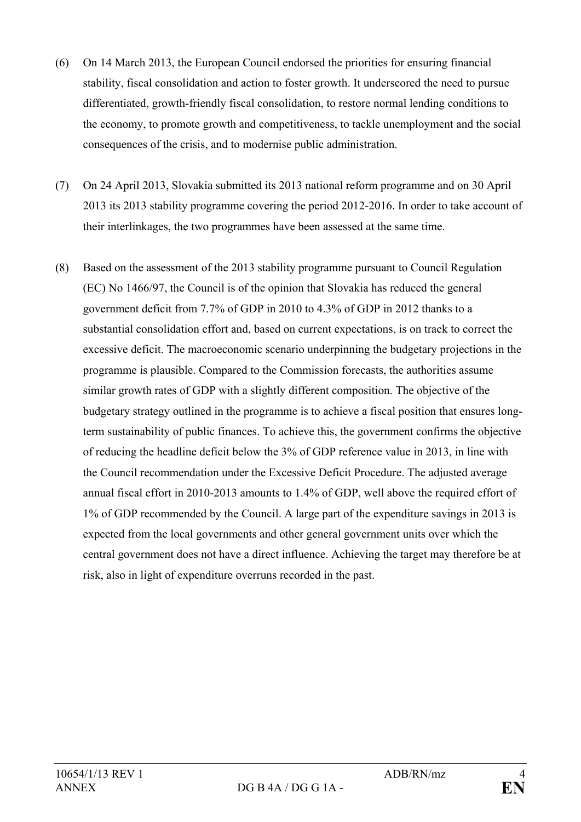- (6) On 14 March 2013, the European Council endorsed the priorities for ensuring financial stability, fiscal consolidation and action to foster growth. It underscored the need to pursue differentiated, growth-friendly fiscal consolidation, to restore normal lending conditions to the economy, to promote growth and competitiveness, to tackle unemployment and the social consequences of the crisis, and to modernise public administration.
- (7) On 24 April 2013, Slovakia submitted its 2013 national reform programme and on 30 April 2013 its 2013 stability programme covering the period 2012-2016. In order to take account of their interlinkages, the two programmes have been assessed at the same time.
- (8) Based on the assessment of the 2013 stability programme pursuant to Council Regulation (EC) No 1466/97, the Council is of the opinion that Slovakia has reduced the general government deficit from 7.7% of GDP in 2010 to 4.3% of GDP in 2012 thanks to a substantial consolidation effort and, based on current expectations, is on track to correct the excessive deficit. The macroeconomic scenario underpinning the budgetary projections in the programme is plausible. Compared to the Commission forecasts, the authorities assume similar growth rates of GDP with a slightly different composition. The objective of the budgetary strategy outlined in the programme is to achieve a fiscal position that ensures longterm sustainability of public finances. To achieve this, the government confirms the objective of reducing the headline deficit below the 3% of GDP reference value in 2013, in line with the Council recommendation under the Excessive Deficit Procedure. The adjusted average annual fiscal effort in 2010-2013 amounts to 1.4% of GDP, well above the required effort of 1% of GDP recommended by the Council. A large part of the expenditure savings in 2013 is expected from the local governments and other general government units over which the central government does not have a direct influence. Achieving the target may therefore be at risk, also in light of expenditure overruns recorded in the past.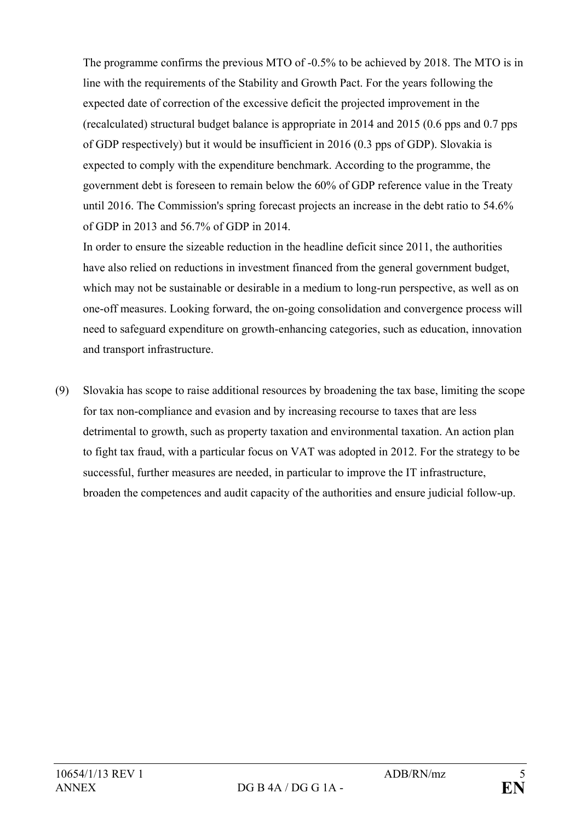The programme confirms the previous MTO of -0.5% to be achieved by 2018. The MTO is in line with the requirements of the Stability and Growth Pact. For the years following the expected date of correction of the excessive deficit the projected improvement in the (recalculated) structural budget balance is appropriate in 2014 and 2015 (0.6 pps and 0.7 pps of GDP respectively) but it would be insufficient in 2016 (0.3 pps of GDP). Slovakia is expected to comply with the expenditure benchmark. According to the programme, the government debt is foreseen to remain below the 60% of GDP reference value in the Treaty until 2016. The Commission's spring forecast projects an increase in the debt ratio to 54.6% of GDP in 2013 and 56.7% of GDP in 2014.

In order to ensure the sizeable reduction in the headline deficit since 2011, the authorities have also relied on reductions in investment financed from the general government budget, which may not be sustainable or desirable in a medium to long-run perspective, as well as on one-off measures. Looking forward, the on-going consolidation and convergence process will need to safeguard expenditure on growth-enhancing categories, such as education, innovation and transport infrastructure.

(9) Slovakia has scope to raise additional resources by broadening the tax base, limiting the scope for tax non-compliance and evasion and by increasing recourse to taxes that are less detrimental to growth, such as property taxation and environmental taxation. An action plan to fight tax fraud, with a particular focus on VAT was adopted in 2012. For the strategy to be successful, further measures are needed, in particular to improve the IT infrastructure, broaden the competences and audit capacity of the authorities and ensure judicial follow-up.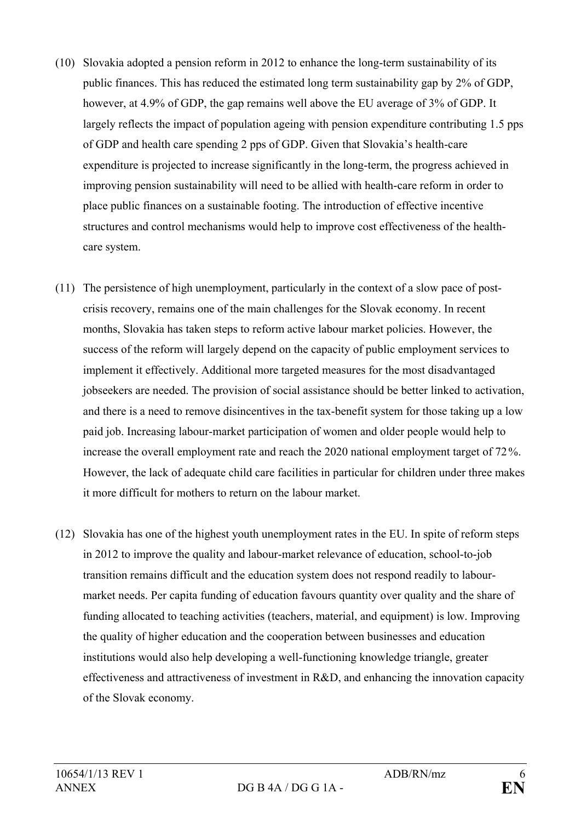- (10) Slovakia adopted a pension reform in 2012 to enhance the long-term sustainability of its public finances. This has reduced the estimated long term sustainability gap by 2% of GDP, however, at 4.9% of GDP, the gap remains well above the EU average of 3% of GDP. It largely reflects the impact of population ageing with pension expenditure contributing 1.5 pps of GDP and health care spending 2 pps of GDP. Given that Slovakia's health-care expenditure is projected to increase significantly in the long-term, the progress achieved in improving pension sustainability will need to be allied with health-care reform in order to place public finances on a sustainable footing. The introduction of effective incentive structures and control mechanisms would help to improve cost effectiveness of the healthcare system.
- (11) The persistence of high unemployment, particularly in the context of a slow pace of postcrisis recovery, remains one of the main challenges for the Slovak economy. In recent months, Slovakia has taken steps to reform active labour market policies. However, the success of the reform will largely depend on the capacity of public employment services to implement it effectively. Additional more targeted measures for the most disadvantaged jobseekers are needed. The provision of social assistance should be better linked to activation, and there is a need to remove disincentives in the tax-benefit system for those taking up a low paid job. Increasing labour-market participation of women and older people would help to increase the overall employment rate and reach the 2020 national employment target of 72%. However, the lack of adequate child care facilities in particular for children under three makes it more difficult for mothers to return on the labour market.
- (12) Slovakia has one of the highest youth unemployment rates in the EU. In spite of reform steps in 2012 to improve the quality and labour-market relevance of education, school-to-job transition remains difficult and the education system does not respond readily to labourmarket needs. Per capita funding of education favours quantity over quality and the share of funding allocated to teaching activities (teachers, material, and equipment) is low. Improving the quality of higher education and the cooperation between businesses and education institutions would also help developing a well-functioning knowledge triangle, greater effectiveness and attractiveness of investment in R&D, and enhancing the innovation capacity of the Slovak economy.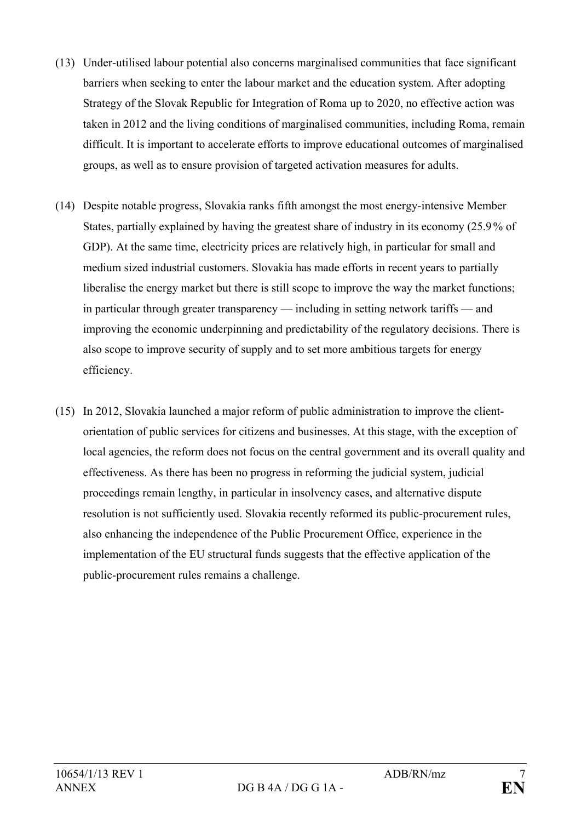- (13) Under-utilised labour potential also concerns marginalised communities that face significant barriers when seeking to enter the labour market and the education system. After adopting Strategy of the Slovak Republic for Integration of Roma up to 2020, no effective action was taken in 2012 and the living conditions of marginalised communities, including Roma, remain difficult. It is important to accelerate efforts to improve educational outcomes of marginalised groups, as well as to ensure provision of targeted activation measures for adults.
- (14) Despite notable progress, Slovakia ranks fifth amongst the most energy-intensive Member States, partially explained by having the greatest share of industry in its economy (25.9% of GDP). At the same time, electricity prices are relatively high, in particular for small and medium sized industrial customers. Slovakia has made efforts in recent years to partially liberalise the energy market but there is still scope to improve the way the market functions; in particular through greater transparency — including in setting network tariffs — and improving the economic underpinning and predictability of the regulatory decisions. There is also scope to improve security of supply and to set more ambitious targets for energy efficiency.
- (15) In 2012, Slovakia launched a major reform of public administration to improve the clientorientation of public services for citizens and businesses. At this stage, with the exception of local agencies, the reform does not focus on the central government and its overall quality and effectiveness. As there has been no progress in reforming the judicial system, judicial proceedings remain lengthy, in particular in insolvency cases, and alternative dispute resolution is not sufficiently used. Slovakia recently reformed its public-procurement rules, also enhancing the independence of the Public Procurement Office, experience in the implementation of the EU structural funds suggests that the effective application of the public-procurement rules remains a challenge.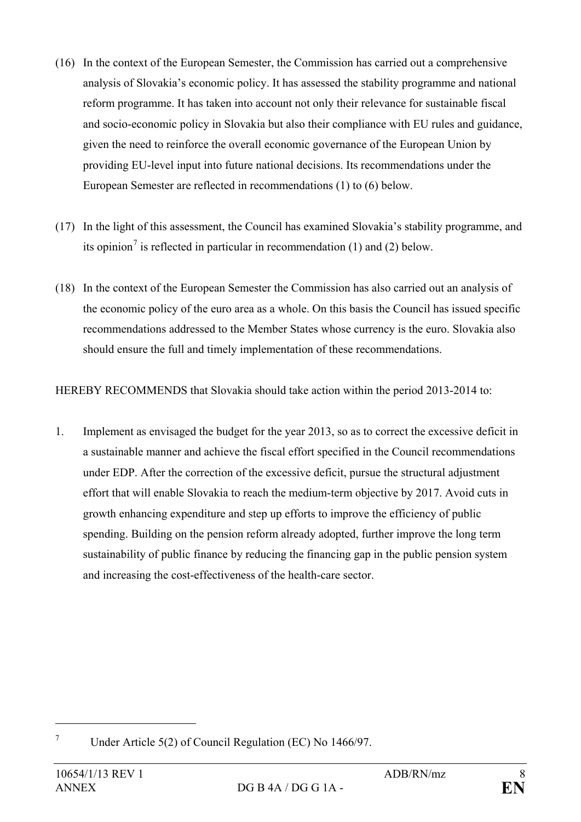- (16) In the context of the European Semester, the Commission has carried out a comprehensive analysis of Slovakia's economic policy. It has assessed the stability programme and national reform programme. It has taken into account not only their relevance for sustainable fiscal and socio-economic policy in Slovakia but also their compliance with EU rules and guidance, given the need to reinforce the overall economic governance of the European Union by providing EU-level input into future national decisions. Its recommendations under the European Semester are reflected in recommendations (1) to (6) below.
- (17) In the light of this assessment, the Council has examined Slovakia's stability programme, and its opinion<sup>[7](#page-7-0)</sup> is reflected in particular in recommendation (1) and (2) below.
- (18) In the context of the European Semester the Commission has also carried out an analysis of the economic policy of the euro area as a whole. On this basis the Council has issued specific recommendations addressed to the Member States whose currency is the euro. Slovakia also should ensure the full and timely implementation of these recommendations.

HEREBY RECOMMENDS that Slovakia should take action within the period 2013-2014 to:

1. Implement as envisaged the budget for the year 2013, so as to correct the excessive deficit in a sustainable manner and achieve the fiscal effort specified in the Council recommendations under EDP. After the correction of the excessive deficit, pursue the structural adjustment effort that will enable Slovakia to reach the medium-term objective by 2017. Avoid cuts in growth enhancing expenditure and step up efforts to improve the efficiency of public spending. Building on the pension reform already adopted, further improve the long term sustainability of public finance by reducing the financing gap in the public pension system and increasing the cost-effectiveness of the health-care sector.

 $\overline{a}$ 

<span id="page-7-0"></span><sup>7</sup> Under Article 5(2) of Council Regulation (EC) No 1466/97.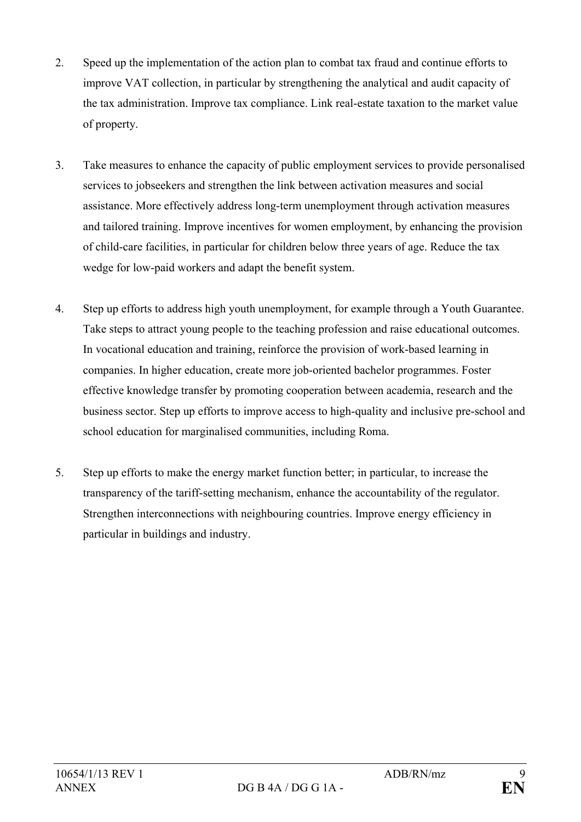- 2. Speed up the implementation of the action plan to combat tax fraud and continue efforts to improve VAT collection, in particular by strengthening the analytical and audit capacity of the tax administration. Improve tax compliance. Link real-estate taxation to the market value of property.
- 3. Take measures to enhance the capacity of public employment services to provide personalised services to jobseekers and strengthen the link between activation measures and social assistance. More effectively address long-term unemployment through activation measures and tailored training. Improve incentives for women employment, by enhancing the provision of child-care facilities, in particular for children below three years of age. Reduce the tax wedge for low-paid workers and adapt the benefit system.
- 4. Step up efforts to address high youth unemployment, for example through a Youth Guarantee. Take steps to attract young people to the teaching profession and raise educational outcomes. In vocational education and training, reinforce the provision of work-based learning in companies. In higher education, create more job-oriented bachelor programmes. Foster effective knowledge transfer by promoting cooperation between academia, research and the business sector. Step up efforts to improve access to high-quality and inclusive pre-school and school education for marginalised communities, including Roma.
- 5. Step up efforts to make the energy market function better; in particular, to increase the transparency of the tariff-setting mechanism, enhance the accountability of the regulator. Strengthen interconnections with neighbouring countries. Improve energy efficiency in particular in buildings and industry.